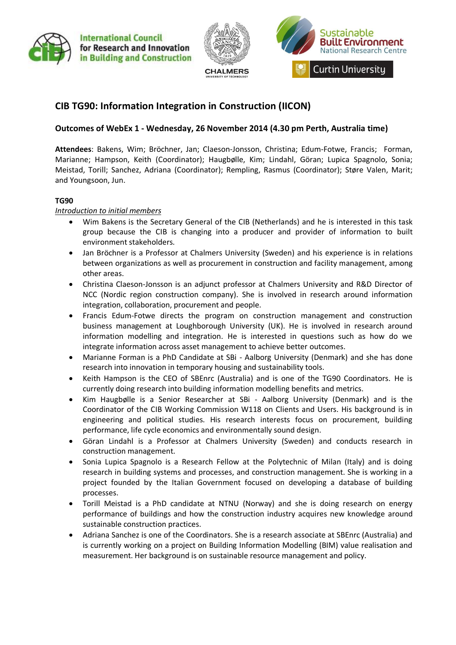



# **CIB TG90: Information Integration in Construction (IICON)**

# **Outcomes of WebEx 1 - Wednesday, 26 November 2014 (4.30 pm Perth, Australia time)**

**Attendees**: Bakens, Wim; Bröchner, Jan; Claeson-Jonsson, Christina; Edum-Fotwe, Francis; Forman, Marianne; Hampson, Keith (Coordinator); Haugbølle, Kim; Lindahl, Göran; Lupica Spagnolo, Sonia; Meistad, Torill; Sanchez, Adriana (Coordinator); Rempling, Rasmus (Coordinator); Støre Valen, Marit; and Youngsoon, Jun.

# **TG90**

### *Introduction to initial members*

- Wim Bakens is the Secretary General of the CIB (Netherlands) and he is interested in this task group because the CIB is changing into a producer and provider of information to built environment stakeholders.
- Jan Bröchner is a Professor at Chalmers University (Sweden) and his experience is in relations between organizations as well as procurement in construction and facility management, among other areas.
- Christina Claeson-Jonsson is an adjunct professor at Chalmers University and R&D Director of NCC (Nordic region construction company). She is involved in research around information integration, collaboration, procurement and people.
- Francis Edum-Fotwe directs the program on construction management and construction business management at Loughborough University (UK). He is involved in research around information modelling and integration. He is interested in questions such as how do we integrate information across asset management to achieve better outcomes.
- Marianne Forman is a PhD Candidate at SBi Aalborg University (Denmark) and she has done research into innovation in temporary housing and sustainability tools.
- Keith Hampson is the CEO of SBEnrc (Australia) and is one of the TG90 Coordinators. He is currently doing research into building information modelling benefits and metrics.
- Kim Haugbølle is a Senior Researcher at SBi Aalborg University (Denmark) and is the Coordinator of the CIB Working Commission W118 on Clients and Users. His background is in engineering and political studies. His research interests focus on procurement, building performance, life cycle economics and environmentally sound design.
- Göran Lindahl is a Professor at Chalmers University (Sweden) and conducts research in construction management.
- Sonia Lupica Spagnolo is a Research Fellow at the Polytechnic of Milan (Italy) and is doing research in building systems and processes, and construction management. She is working in a project founded by the Italian Government focused on developing a database of building processes.
- Torill Meistad is a PhD candidate at NTNU (Norway) and she is doing research on energy performance of buildings and how the construction industry acquires new knowledge around sustainable construction practices.
- Adriana Sanchez is one of the Coordinators. She is a research associate at SBEnrc (Australia) and is currently working on a project on Building Information Modelling (BIM) value realisation and measurement. Her background is on sustainable resource management and policy.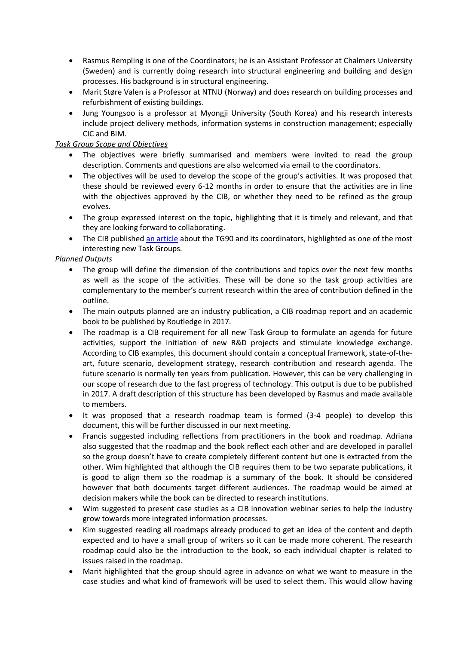- Rasmus Rempling is one of the Coordinators; he is an Assistant Professor at Chalmers University (Sweden) and is currently doing research into structural engineering and building and design processes. His background is in structural engineering.
- Marit Støre Valen is a Professor at NTNU (Norway) and does research on building processes and refurbishment of existing buildings.
- Jung Youngsoo is a professor at Myongji University (South Korea) and his research interests include project delivery methods, information systems in construction management; especially CIC and BIM.

# *Task Group Scope and Objectives*

- The objectives were briefly summarised and members were invited to read the group description. Comments and questions are also welcomed via email to the coordinators.
- The objectives will be used to develop the scope of the group's activities. It was proposed that these should be reviewed every 6-12 months in order to ensure that the activities are in line with the objectives approved by the CIB, or whether they need to be refined as the group evolves.
- The group expressed interest on the topic, highlighting that it is timely and relevant, and that they are looking forward to collaborating.
- The CIB publishe[d an article](http://heyblom.websites.xs4all.nl/website/newsletter/1407/introd_tg90_coordinators.pdf) about the TG90 and its coordinators, highlighted as one of the most interesting new Task Groups.

### *Planned Outputs*

- The group will define the dimension of the contributions and topics over the next few months as well as the scope of the activities. These will be done so the task group activities are complementary to the member's current research within the area of contribution defined in the outline.
- The main outputs planned are an industry publication, a CIB roadmap report and an academic book to be published by Routledge in 2017.
- The roadmap is a CIB requirement for all new Task Group to formulate an agenda for future activities, support the initiation of new R&D projects and stimulate knowledge exchange. According to CIB examples, this document should contain a conceptual framework, state-of-theart, future scenario, development strategy, research contribution and research agenda. The future scenario is normally ten years from publication. However, this can be very challenging in our scope of research due to the fast progress of technology. This output is due to be published in 2017. A draft description of this structure has been developed by Rasmus and made available to members.
- It was proposed that a research roadmap team is formed (3-4 people) to develop this document, this will be further discussed in our next meeting.
- Francis suggested including reflections from practitioners in the book and roadmap. Adriana also suggested that the roadmap and the book reflect each other and are developed in parallel so the group doesn't have to create completely different content but one is extracted from the other. Wim highlighted that although the CIB requires them to be two separate publications, it is good to align them so the roadmap is a summary of the book. It should be considered however that both documents target different audiences. The roadmap would be aimed at decision makers while the book can be directed to research institutions.
- Wim suggested to present case studies as a CIB innovation webinar series to help the industry grow towards more integrated information processes.
- Kim suggested reading all roadmaps already produced to get an idea of the content and depth expected and to have a small group of writers so it can be made more coherent. The research roadmap could also be the introduction to the book, so each individual chapter is related to issues raised in the roadmap.
- Marit highlighted that the group should agree in advance on what we want to measure in the case studies and what kind of framework will be used to select them. This would allow having